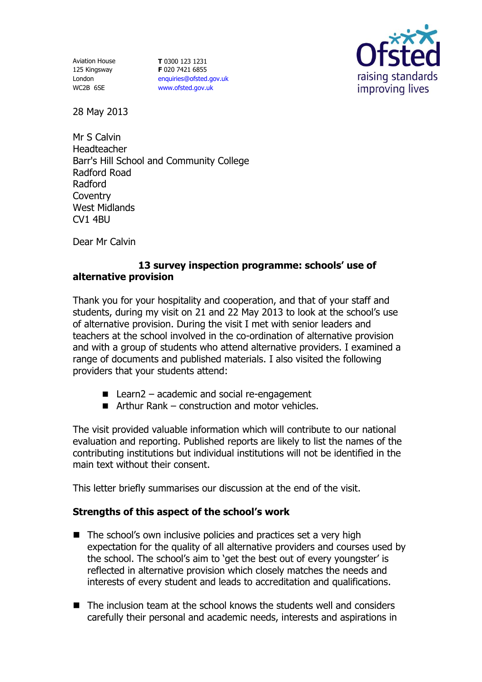Aviation House 125 Kingsway London WC2B 6SE

**T** 0300 123 1231 **F** 020 7421 6855 [enquiries@ofsted.gov.uk](mailto:enquiries@ofsted.gov.uk) [www.ofsted.gov.uk](http://www.ofsted.gov.uk/)



28 May 2013

Mr S Calvin **Headteacher** Barr's Hill School and Community College Radford Road Radford **Coventry** West Midlands CV1 4BU

Dear Mr Calvin

## **13 survey inspection programme: schools' use of alternative provision**

Thank you for your hospitality and cooperation, and that of your staff and students, during my visit on 21 and 22 May 2013 to look at the school's use of alternative provision. During the visit I met with senior leaders and teachers at the school involved in the co-ordination of alternative provision and with a group of students who attend alternative providers. I examined a range of documents and published materials. I also visited the following providers that your students attend:

- $\blacksquare$  Learn2 academic and social re-engagement
- $\blacksquare$  Arthur Rank construction and motor vehicles.

The visit provided valuable information which will contribute to our national evaluation and reporting. Published reports are likely to list the names of the contributing institutions but individual institutions will not be identified in the main text without their consent.

This letter briefly summarises our discussion at the end of the visit.

## **Strengths of this aspect of the school's work**

- The school's own inclusive policies and practices set a very high expectation for the quality of all alternative providers and courses used by the school. The school's aim to 'get the best out of every youngster' is reflected in alternative provision which closely matches the needs and interests of every student and leads to accreditation and qualifications.
- The inclusion team at the school knows the students well and considers carefully their personal and academic needs, interests and aspirations in